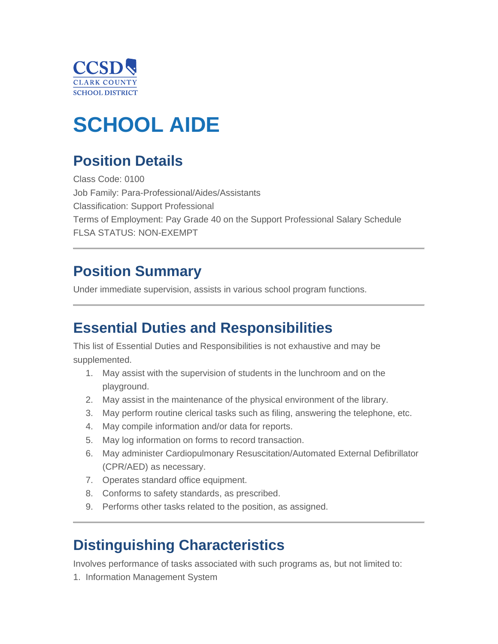

# **SCHOOL AIDE**

# **Position Details**

Class Code: 0100 Job Family: Para-Professional/Aides/Assistants Classification: Support Professional Terms of Employment: Pay Grade 40 on the Support Professional Salary Schedule FLSA STATUS: NON-EXEMPT

### **Position Summary**

Under immediate supervision, assists in various school program functions.

### **Essential Duties and Responsibilities**

This list of Essential Duties and Responsibilities is not exhaustive and may be supplemented.

- 1. May assist with the supervision of students in the lunchroom and on the playground.
- 2. May assist in the maintenance of the physical environment of the library.
- 3. May perform routine clerical tasks such as filing, answering the telephone, etc.
- 4. May compile information and/or data for reports.
- 5. May log information on forms to record transaction.
- 6. May administer Cardiopulmonary Resuscitation/Automated External Defibrillator (CPR/AED) as necessary.
- 7. Operates standard office equipment.
- 8. Conforms to safety standards, as prescribed.
- 9. Performs other tasks related to the position, as assigned.

### **Distinguishing Characteristics**

Involves performance of tasks associated with such programs as, but not limited to:

1. Information Management System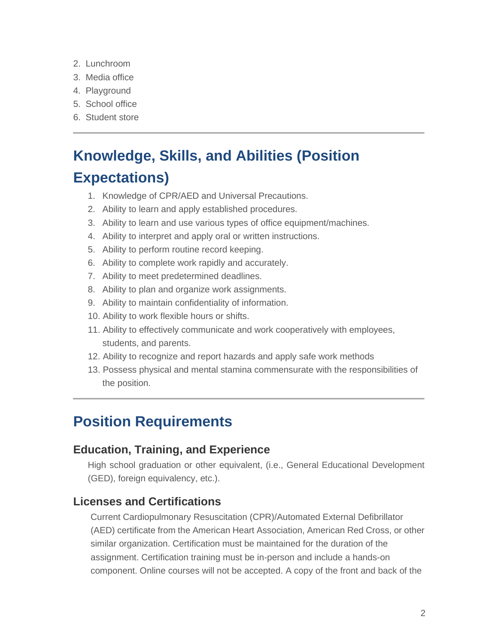- 2. Lunchroom
- 3. Media office
- 4. Playground
- 5. School office
- 6. Student store

# **Knowledge, Skills, and Abilities (Position Expectations)**

- 1. Knowledge of CPR/AED and Universal Precautions.
- 2. Ability to learn and apply established procedures.
- 3. Ability to learn and use various types of office equipment/machines.
- 4. Ability to interpret and apply oral or written instructions.
- 5. Ability to perform routine record keeping.
- 6. Ability to complete work rapidly and accurately.
- 7. Ability to meet predetermined deadlines.
- 8. Ability to plan and organize work assignments.
- 9. Ability to maintain confidentiality of information.
- 10. Ability to work flexible hours or shifts.
- 11. Ability to effectively communicate and work cooperatively with employees, students, and parents.
- 12. Ability to recognize and report hazards and apply safe work methods
- 13. Possess physical and mental stamina commensurate with the responsibilities of the position.

### **Position Requirements**

#### **Education, Training, and Experience**

High school graduation or other equivalent, (i.e., General Educational Development (GED), foreign equivalency, etc.).

#### **Licenses and Certifications**

 Current Cardiopulmonary Resuscitation (CPR)/Automated External Defibrillator (AED) certificate from the American Heart Association, American Red Cross, or other similar organization. Certification must be maintained for the duration of the assignment. Certification training must be in-person and include a hands-on component. Online courses will not be accepted. A copy of the front and back of the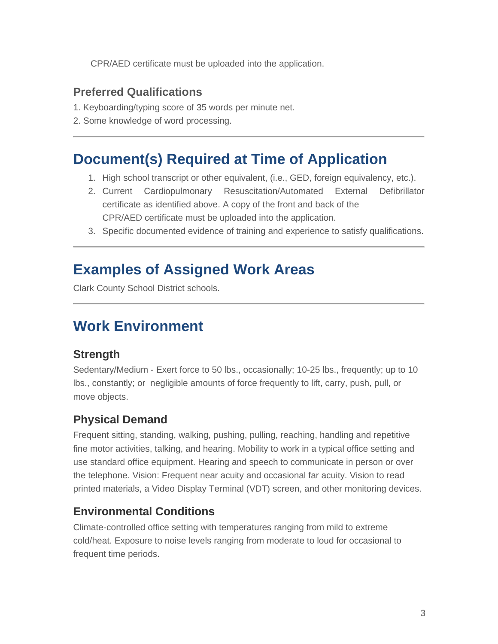CPR/AED certificate must be uploaded into the application.

#### **Preferred Qualifications**

- 1. Keyboarding/typing score of 35 words per minute net.
- 2. Some knowledge of word processing.

### **Document(s) Required at Time of Application**

- 1. High school transcript or other equivalent, (i.e., GED, foreign equivalency, etc.).
- 2. Current Cardiopulmonary Resuscitation/Automated External Defibrillator certificate as identified above. A copy of the front and back of the CPR/AED certificate must be uploaded into the application.
- 3. Specific documented evidence of training and experience to satisfy qualifications.

### **Examples of Assigned Work Areas**

Clark County School District schools.

## **Work Environment**

#### **Strength**

Sedentary/Medium - Exert force to 50 lbs., occasionally; 10-25 lbs., frequently; up to 10 lbs., constantly; or negligible amounts of force frequently to lift, carry, push, pull, or move objects.

### **Physical Demand**

Frequent sitting, standing, walking, pushing, pulling, reaching, handling and repetitive fine motor activities, talking, and hearing. Mobility to work in a typical office setting and use standard office equipment. Hearing and speech to communicate in person or over the telephone. Vision: Frequent near acuity and occasional far acuity. Vision to read printed materials, a Video Display Terminal (VDT) screen, and other monitoring devices.

### **Environmental Conditions**

Climate-controlled office setting with temperatures ranging from mild to extreme cold/heat. Exposure to noise levels ranging from moderate to loud for occasional to frequent time periods.